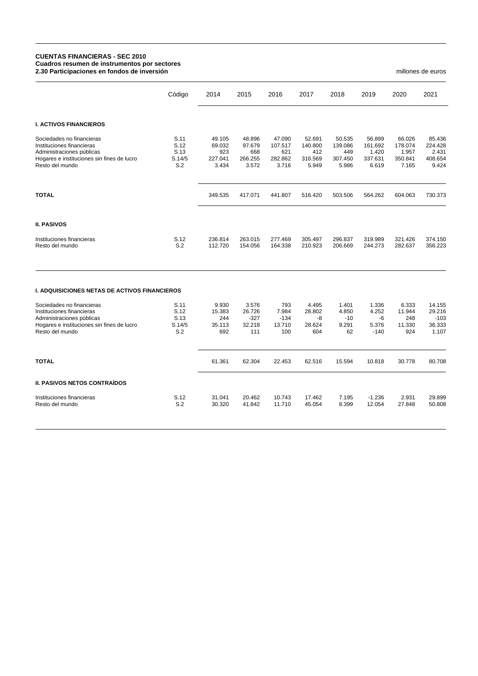## **CUENTAS FINANCIERAS - SEC 2010 Cuadros resumen de instrumentos por sectores 2.30 Participaciones en fondos de inversión** millones de euros

Código 2014 2015 2016 2017 2018 2019 2020 2021 **I. ACTIVOS FINANCIEROS** Sociedades no financieras 65.436 5.11 49.105 48.896 47.090 52.691 50.535 56.899 66.026 85.436<br>Instituciones financieras 65.426 5.12 69.032 97.679 107.517 140.800 139.086 161.692 178.074 224.428 Instituciones financieras S.12 69.032 97.679 107.517 140.800 139.086 161.692 178.074 224.428 Administraciones públicas bublicas bublicas control control control control control control control control co<br>S.14/5 227.041 266.255 282.862 316.569 307.450 337.631 350.841 408.654 2.145 227.041 266.255 282.862 316.569 3 Hogares e instituciones sin fines de lucro S.14/5 227.041 266.255 282.862 316.569 307.450 337.631 350.841 408.654 Resto del mundo S.2 3.434 3.572 3.716 5.949 5.986 6.619 7.165 9.424 **TOTAL** 349.535 417.071 441.807 516.420 503.506 564.262 604.063 730.373 **II. PASIVOS** Instituciones financieras S.12 236.814 263.015 277.469 305.497 296.837 319.989 321.426 374.150 Resto del mundo **I. ADQUISICIONES NETAS DE ACTIVOS FINANCIEROS** Sociedades no financieras 6.333 corrections control control to the 1.930 3.576 793 4.495 1.401 1.336 6.333 14.155<br>1.5383 26.726 7.984 28.802 4.850 4.252 11.944 29.216 Instituciones financieras 6.12 15.383 26.726 7.984<br>Administraciones públicas 6.13 244 2327 -134 Administraciones públicas S.13 244 -327 -134 -8 -10 -6 248 -103 Hogares e instituciones sin fines de lucro S.14/<br>Resto del mundo Resto del mundo S.2 692 111 100 604 62 -140 924 1.107 **TOTAL** 61.361 62.304 22.453 62.516 15.594 10.818 30.778 80.708 **II. PASIVOS NETOS CONTRAÍDOS** Instituciones financieras S.12 31.041 20.462 10.743 17.462 7.195 -1.236 2.931 29.899 Resto del mundo S.2 30.320 41.842 11.710 45.054 8.399 12.054 27.848 50.808